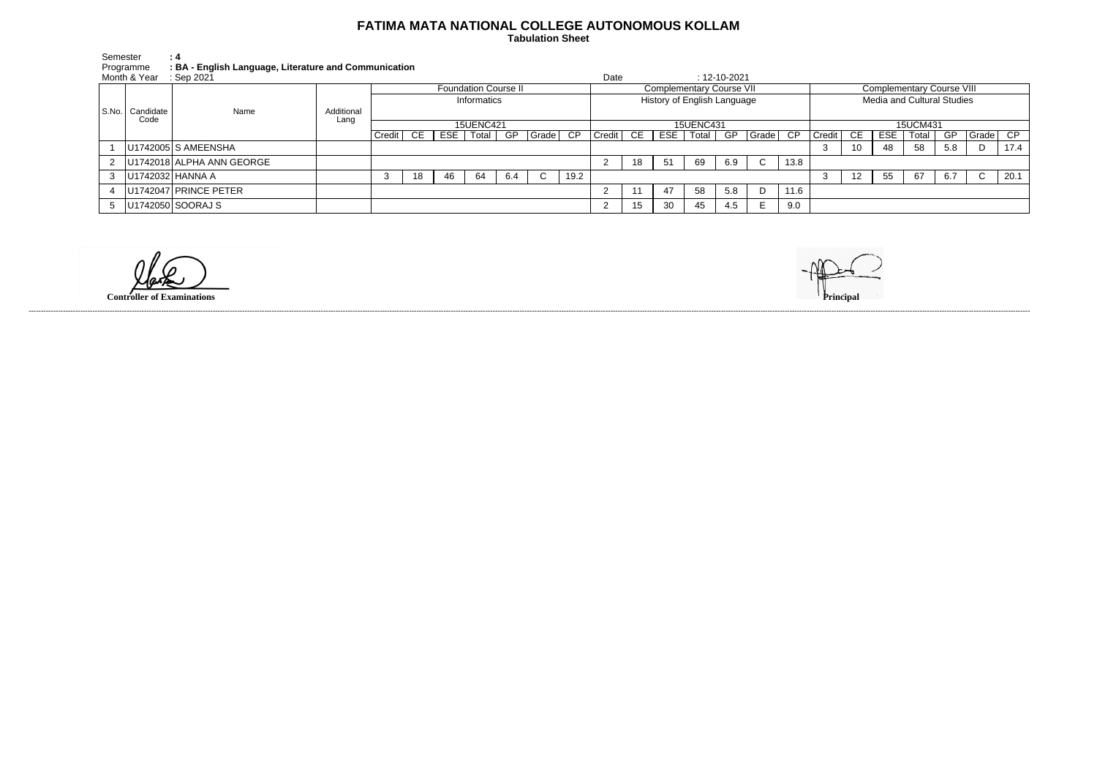## **FATIMA MATA NATIONAL COLLEGE AUTONOMOUS KOLLAM**

 **Tabulation Sheet** 

| Semester     | : 4                                                   |
|--------------|-------------------------------------------------------|
| Programme    | : BA - English Language, Literature and Communication |
| Month & Year | : Sep 2021                                            |

|  | Month & Year                | : Sep 2021                      |                    |                             |     |     |       |     |                             |                                 | Date   |    |     |       | $: 12 - 10 - 2021$ |                            |                                  |        |      |            |       |     |       |      |
|--|-----------------------------|---------------------------------|--------------------|-----------------------------|-----|-----|-------|-----|-----------------------------|---------------------------------|--------|----|-----|-------|--------------------|----------------------------|----------------------------------|--------|------|------------|-------|-----|-------|------|
|  |                             | Name                            | Additional<br>Lang | <b>Foundation Course II</b> |     |     |       |     |                             | <b>Complementary Course VII</b> |        |    |     |       |                    |                            | <b>Complementary Course VIII</b> |        |      |            |       |     |       |      |
|  | S.No.   Candidate  <br>Code |                                 |                    | Informatics                 |     |     |       |     | History of English Language |                                 |        |    |     |       |                    | Media and Cultural Studies |                                  |        |      |            |       |     |       |      |
|  |                             |                                 |                    | <b>15UENC421</b>            |     |     |       |     | <b>15UENC431</b>            |                                 |        |    |     |       |                    | 15UCM431                   |                                  |        |      |            |       |     |       |      |
|  |                             |                                 |                    | Credit !                    | CE. | ESE | Total | GP  | Grade                       | CP                              | Credit | CE | ESE | Total | GP                 | $\sqrt{Gra}$ de            | CP                               | Credit | - CE | <b>ESE</b> | Total | GP  | Grade | CP   |
|  |                             | U1742005 S AMEENSHA             |                    |                             |     |     |       |     |                             |                                 |        |    |     |       |                    |                            |                                  | 3      | 10   | 48         | 58    | 5.8 |       | 17.4 |
|  |                             | 2   U1742018   ALPHA ANN GEORGE |                    |                             |     |     |       |     |                             |                                 |        | 18 | -51 | 69    | 6.9                | $\mathsf{C}$               | 13.8                             |        |      |            |       |     |       |      |
|  | U1742032 HANNA A            |                                 |                    |                             | 18  | 46  | 64    | 6.4 | ◡                           | 19.2                            |        |    |     |       |                    |                            |                                  |        | 12.  | 55         | 67    | 6.7 |       | 20.1 |
|  |                             | U1742047 PRINCE PETER           |                    |                             |     |     |       |     |                             |                                 |        |    | 47  | 58    | 5.8                | D                          | 11.6                             |        |      |            |       |     |       |      |
|  |                             | 5   U1742050   SOORAJ S         |                    |                             |     |     |       |     |                             |                                 |        | 15 | 30  | 45    | 4.5                |                            | 9.0                              |        |      |            |       |     |       |      |

**Controller of Examinations Principal**



------------------------------------------------------------------------------------------------------------------------------------------------------------------------------------------------------------------------------------------------------------------------------------------------------------------------------------------------------------------------------------------------------------------------